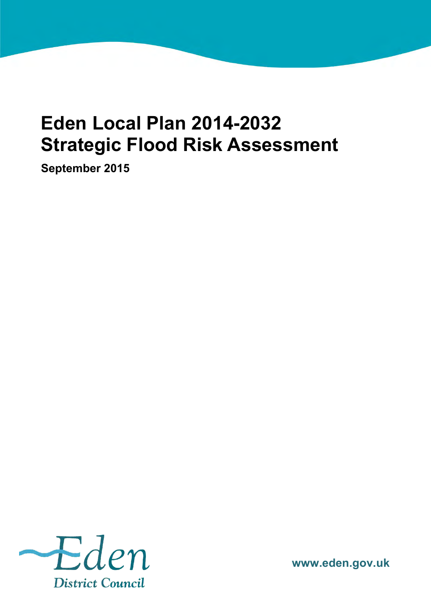# **Eden Local Plan 2014-2032 Strategic Flood Risk Assessment**

**September 2015**



**www.eden.gov.uk**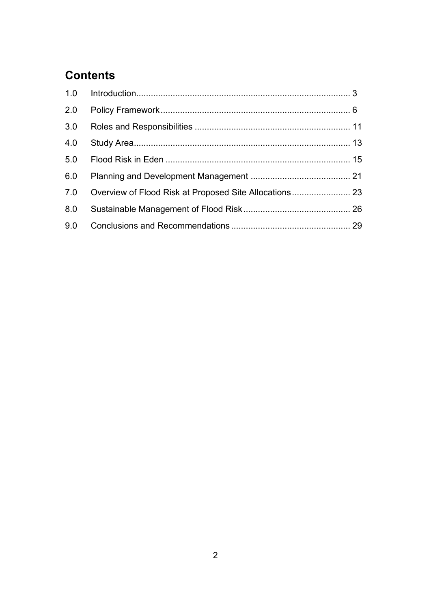# **Contents**

| 2.0 |  |
|-----|--|
| 3.0 |  |
| 4.0 |  |
| 5.0 |  |
| 6.0 |  |
| 7.0 |  |
| 8.0 |  |
| 9.0 |  |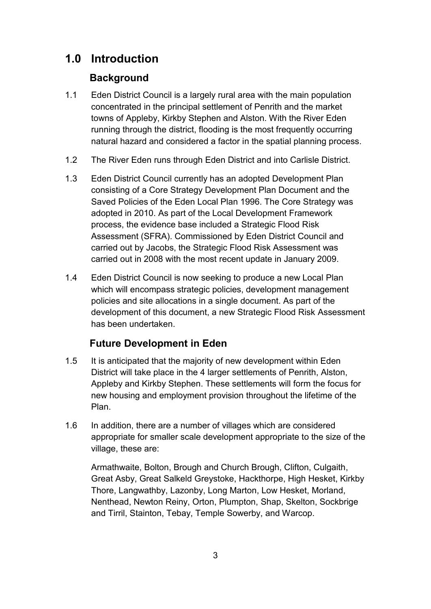# **1.0 Introduction**

# **Background**

- 1.1 Eden District Council is a largely rural area with the main population concentrated in the principal settlement of Penrith and the market towns of Appleby, Kirkby Stephen and Alston. With the River Eden running through the district, flooding is the most frequently occurring natural hazard and considered a factor in the spatial planning process.
- 1.2 The River Eden runs through Eden District and into Carlisle District.
- 1.3 Eden District Council currently has an adopted Development Plan consisting of a Core Strategy Development Plan Document and the Saved Policies of the Eden Local Plan 1996. The Core Strategy was adopted in 2010. As part of the Local Development Framework process, the evidence base included a Strategic Flood Risk Assessment (SFRA). Commissioned by Eden District Council and carried out by Jacobs, the Strategic Flood Risk Assessment was carried out in 2008 with the most recent update in January 2009.
- 1.4 Eden District Council is now seeking to produce a new Local Plan which will encompass strategic policies, development management policies and site allocations in a single document. As part of the development of this document, a new Strategic Flood Risk Assessment has been undertaken.

# **Future Development in Eden**

- 1.5 It is anticipated that the majority of new development within Eden District will take place in the 4 larger settlements of Penrith, Alston, Appleby and Kirkby Stephen. These settlements will form the focus for new housing and employment provision throughout the lifetime of the Plan.
- 1.6 In addition, there are a number of villages which are considered appropriate for smaller scale development appropriate to the size of the village, these are:

 Armathwaite, Bolton, Brough and Church Brough, Clifton, Culgaith, Great Asby, Great Salkeld Greystoke, Hackthorpe, High Hesket, Kirkby Thore, Langwathby, Lazonby, Long Marton, Low Hesket, Morland, Nenthead, Newton Reiny, Orton, Plumpton, Shap, Skelton, Sockbrige and Tirril, Stainton, Tebay, Temple Sowerby, and Warcop.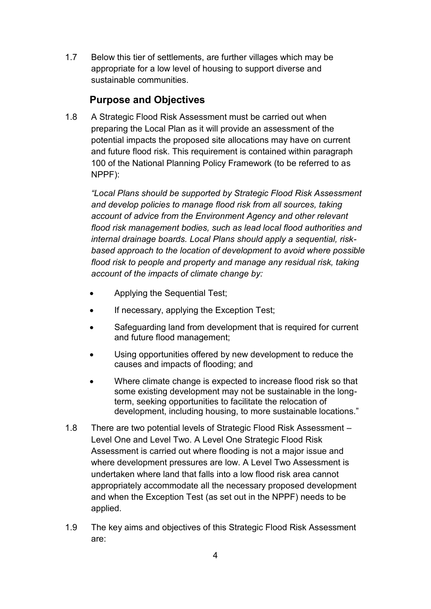1.7 Below this tier of settlements, are further villages which may be appropriate for a low level of housing to support diverse and sustainable communities.

### **Purpose and Objectives**

1.8 A Strategic Flood Risk Assessment must be carried out when preparing the Local Plan as it will provide an assessment of the potential impacts the proposed site allocations may have on current and future flood risk. This requirement is contained within paragraph 100 of the National Planning Policy Framework (to be referred to as NPPF):

*"Local Plans should be supported by Strategic Flood Risk Assessment and develop policies to manage flood risk from all sources, taking account of advice from the Environment Agency and other relevant flood risk management bodies, such as lead local flood authorities and internal drainage boards. Local Plans should apply a sequential, riskbased approach to the location of development to avoid where possible flood risk to people and property and manage any residual risk, taking account of the impacts of climate change by:* 

- Applying the Sequential Test;
- If necessary, applying the Exception Test;
- Safeguarding land from development that is required for current and future flood management;
- Using opportunities offered by new development to reduce the causes and impacts of flooding; and
- Where climate change is expected to increase flood risk so that some existing development may not be sustainable in the longterm, seeking opportunities to facilitate the relocation of development, including housing, to more sustainable locations."
- 1.8 There are two potential levels of Strategic Flood Risk Assessment Level One and Level Two. A Level One Strategic Flood Risk Assessment is carried out where flooding is not a major issue and where development pressures are low. A Level Two Assessment is undertaken where land that falls into a low flood risk area cannot appropriately accommodate all the necessary proposed development and when the Exception Test (as set out in the NPPF) needs to be applied.
- 1.9 The key aims and objectives of this Strategic Flood Risk Assessment are: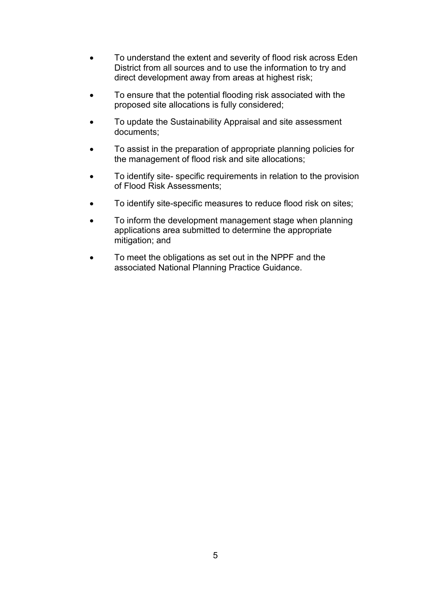- To understand the extent and severity of flood risk across Eden District from all sources and to use the information to try and direct development away from areas at highest risk;
- To ensure that the potential flooding risk associated with the proposed site allocations is fully considered;
- To update the Sustainability Appraisal and site assessment documents;
- To assist in the preparation of appropriate planning policies for the management of flood risk and site allocations;
- To identify site- specific requirements in relation to the provision of Flood Risk Assessments;
- To identify site-specific measures to reduce flood risk on sites;
- To inform the development management stage when planning applications area submitted to determine the appropriate mitigation; and
- To meet the obligations as set out in the NPPF and the associated National Planning Practice Guidance.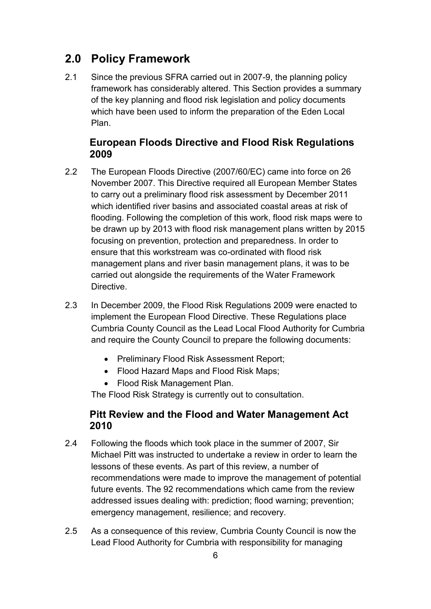# **2.0 Policy Framework**

2.1 Since the previous SFRA carried out in 2007-9, the planning policy framework has considerably altered. This Section provides a summary of the key planning and flood risk legislation and policy documents which have been used to inform the preparation of the Eden Local Plan.

### **European Floods Directive and Flood Risk Regulations 2009**

- 2.2 The European Floods Directive (2007/60/EC) came into force on 26 November 2007. This Directive required all European Member States to carry out a preliminary flood risk assessment by December 2011 which identified river basins and associated coastal areas at risk of flooding. Following the completion of this work, flood risk maps were to be drawn up by 2013 with flood risk management plans written by 2015 focusing on prevention, protection and preparedness. In order to ensure that this workstream was co-ordinated with flood risk management plans and river basin management plans, it was to be carried out alongside the requirements of the Water Framework Directive.
- 2.3 In December 2009, the Flood Risk Regulations 2009 were enacted to implement the European Flood Directive. These Regulations place Cumbria County Council as the Lead Local Flood Authority for Cumbria and require the County Council to prepare the following documents:
	- Preliminary Flood Risk Assessment Report;
	- Flood Hazard Maps and Flood Risk Maps;
	- Flood Risk Management Plan.

The Flood Risk Strategy is currently out to consultation.

### **Pitt Review and the Flood and Water Management Act 2010**

- 2.4 Following the floods which took place in the summer of 2007, Sir Michael Pitt was instructed to undertake a review in order to learn the lessons of these events. As part of this review, a number of recommendations were made to improve the management of potential future events. The 92 recommendations which came from the review addressed issues dealing with: prediction; flood warning; prevention; emergency management, resilience; and recovery.
- 2.5 As a consequence of this review, Cumbria County Council is now the Lead Flood Authority for Cumbria with responsibility for managing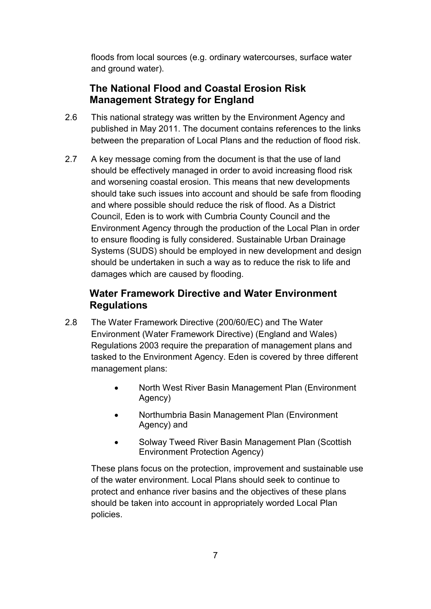floods from local sources (e.g. ordinary watercourses, surface water and ground water).

# **The National Flood and Coastal Erosion Risk Management Strategy for England**

- 2.6 This national strategy was written by the Environment Agency and published in May 2011. The document contains references to the links between the preparation of Local Plans and the reduction of flood risk.
- 2.7 A key message coming from the document is that the use of land should be effectively managed in order to avoid increasing flood risk and worsening coastal erosion. This means that new developments should take such issues into account and should be safe from flooding and where possible should reduce the risk of flood. As a District Council, Eden is to work with Cumbria County Council and the Environment Agency through the production of the Local Plan in order to ensure flooding is fully considered. Sustainable Urban Drainage Systems (SUDS) should be employed in new development and design should be undertaken in such a way as to reduce the risk to life and damages which are caused by flooding.

# **Water Framework Directive and Water Environment Regulations**

- 2.8 The Water Framework Directive (200/60/EC) and The Water Environment (Water Framework Directive) (England and Wales) Regulations 2003 require the preparation of management plans and tasked to the Environment Agency. Eden is covered by three different management plans:
	- North West River Basin Management Plan (Environment Agency)
	- Northumbria Basin Management Plan (Environment Agency) and
	- Solway Tweed River Basin Management Plan (Scottish Environment Protection Agency)

These plans focus on the protection, improvement and sustainable use of the water environment. Local Plans should seek to continue to protect and enhance river basins and the objectives of these plans should be taken into account in appropriately worded Local Plan policies.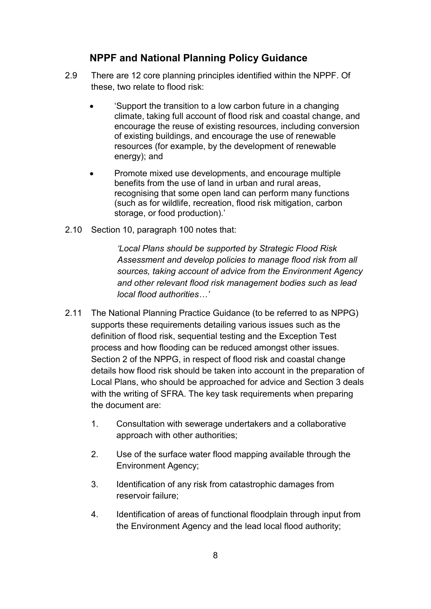### **NPPF and National Planning Policy Guidance**

- 2.9 There are 12 core planning principles identified within the NPPF. Of these, two relate to flood risk:
	- 'Support the transition to a low carbon future in a changing climate, taking full account of flood risk and coastal change, and encourage the reuse of existing resources, including conversion of existing buildings, and encourage the use of renewable resources (for example, by the development of renewable energy); and
	- Promote mixed use developments, and encourage multiple benefits from the use of land in urban and rural areas, recognising that some open land can perform many functions (such as for wildlife, recreation, flood risk mitigation, carbon storage, or food production).'
- 2.10 Section 10, paragraph 100 notes that:

*'Local Plans should be supported by Strategic Flood Risk Assessment and develop policies to manage flood risk from all sources, taking account of advice from the Environment Agency and other relevant flood risk management bodies such as lead local flood authorities…'* 

- 2.11 The National Planning Practice Guidance (to be referred to as NPPG) supports these requirements detailing various issues such as the definition of flood risk, sequential testing and the Exception Test process and how flooding can be reduced amongst other issues. Section 2 of the NPPG, in respect of flood risk and coastal change details how flood risk should be taken into account in the preparation of Local Plans, who should be approached for advice and Section 3 deals with the writing of SFRA. The key task requirements when preparing the document are:
	- 1. Consultation with sewerage undertakers and a collaborative approach with other authorities;
	- 2. Use of the surface water flood mapping available through the Environment Agency;
	- 3. Identification of any risk from catastrophic damages from reservoir failure;
	- 4. Identification of areas of functional floodplain through input from the Environment Agency and the lead local flood authority;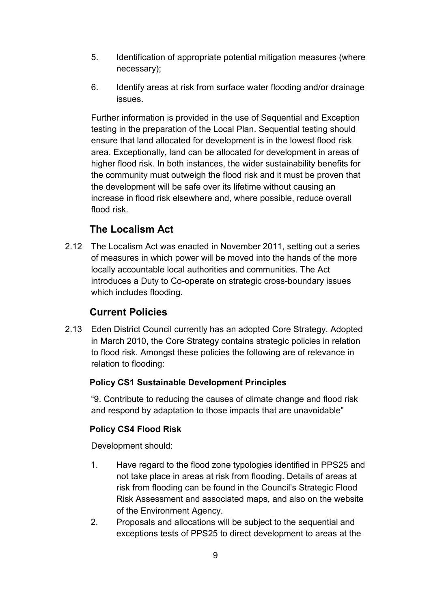- 5. Identification of appropriate potential mitigation measures (where necessary);
- 6. Identify areas at risk from surface water flooding and/or drainage issues.

Further information is provided in the use of Sequential and Exception testing in the preparation of the Local Plan. Sequential testing should ensure that land allocated for development is in the lowest flood risk area. Exceptionally, land can be allocated for development in areas of higher flood risk. In both instances, the wider sustainability benefits for the community must outweigh the flood risk and it must be proven that the development will be safe over its lifetime without causing an increase in flood risk elsewhere and, where possible, reduce overall flood risk.

# **The Localism Act**

2.12 The Localism Act was enacted in November 2011, setting out a series of measures in which power will be moved into the hands of the more locally accountable local authorities and communities. The Act introduces a Duty to Co-operate on strategic cross-boundary issues which includes flooding.

# **Current Policies**

2.13 Eden District Council currently has an adopted Core Strategy. Adopted in March 2010, the Core Strategy contains strategic policies in relation to flood risk. Amongst these policies the following are of relevance in relation to flooding:

### **Policy CS1 Sustainable Development Principles**

"9. Contribute to reducing the causes of climate change and flood risk and respond by adaptation to those impacts that are unavoidable"

### **Policy CS4 Flood Risk**

Development should:

- 1. Have regard to the flood zone typologies identified in PPS25 and not take place in areas at risk from flooding. Details of areas at risk from flooding can be found in the Council's Strategic Flood Risk Assessment and associated maps, and also on the website of the Environment Agency.
- 2. Proposals and allocations will be subject to the sequential and exceptions tests of PPS25 to direct development to areas at the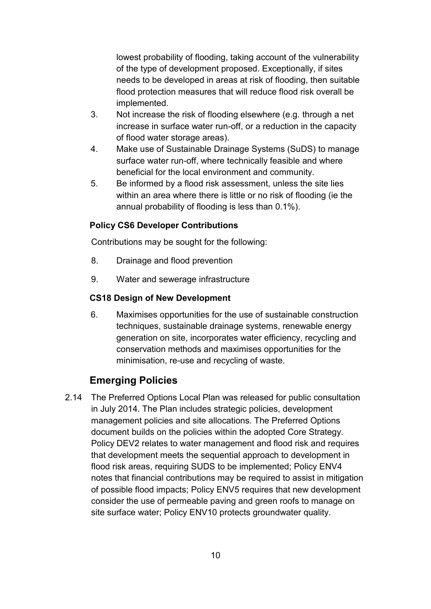lowest probability of flooding, taking account of the vulnerability of the type of development proposed. Exceptionally, if sites needs to be developed in areas at risk of flooding, then suitable flood protection measures that will reduce flood risk overall be implemented.

- 3. Not increase the risk of flooding elsewhere (e.g. through a net increase in surface water run-off, or a reduction in the capacity of flood water storage areas).
- 4. Make use of Sustainable Drainage Systems (SuDS) to manage surface water run-off, where technically feasible and where beneficial for the local environment and community.
- 5. Be informed by a flood risk assessment, unless the site lies within an area where there is little or no risk of flooding (ie the annual probability of flooding is less than 0.1%).

### **Policy CS6 Developer Contributions**

Contributions may be sought for the following:

- 8. Drainage and flood prevention
- 9. Water and sewerage infrastructure

### **CS18 Design of New Development**

6. Maximises opportunities for the use of sustainable construction techniques, sustainable drainage systems, renewable energy generation on site, incorporates water efficiency, recycling and conservation methods and maximises opportunities for the minimisation, re-use and recycling of waste.

# **Emerging Policies**

2.14 The Preferred Options Local Plan was released for public consultation in July 2014. The Plan includes strategic policies, development management policies and site allocations. The Preferred Options document builds on the policies within the adopted Core Strategy. Policy DEV2 relates to water management and flood risk and requires that development meets the sequential approach to development in flood risk areas, requiring SUDS to be implemented; Policy ENV4 notes that financial contributions may be required to assist in mitigation of possible flood impacts; Policy ENV5 requires that new development consider the use of permeable paving and green roofs to manage on site surface water; Policy ENV10 protects groundwater quality.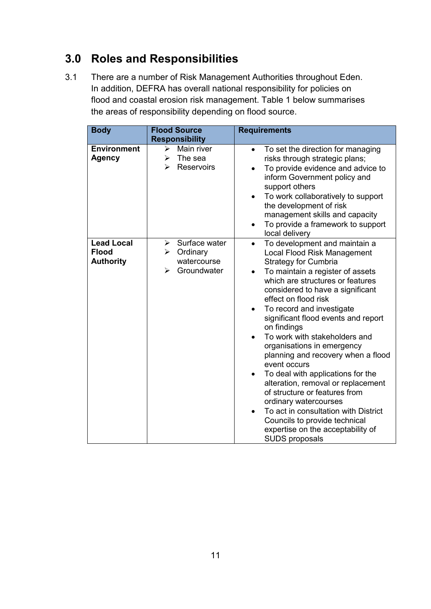# **3.0 Roles and Responsibilities**

3.1 There are a number of Risk Management Authorities throughout Eden. In addition, DEFRA has overall national responsibility for policies on flood and coastal erosion risk management. Table 1 below summarises the areas of responsibility depending on flood source.

| <b>Body</b>                                           | <b>Flood Source</b>                                                                        |                                                                                                                                                                                                                                                                                                                                                                                                                                                                                                                                                                                                                                                                                                                                                            |
|-------------------------------------------------------|--------------------------------------------------------------------------------------------|------------------------------------------------------------------------------------------------------------------------------------------------------------------------------------------------------------------------------------------------------------------------------------------------------------------------------------------------------------------------------------------------------------------------------------------------------------------------------------------------------------------------------------------------------------------------------------------------------------------------------------------------------------------------------------------------------------------------------------------------------------|
|                                                       |                                                                                            | <b>Requirements</b>                                                                                                                                                                                                                                                                                                                                                                                                                                                                                                                                                                                                                                                                                                                                        |
|                                                       | <b>Responsibility</b>                                                                      |                                                                                                                                                                                                                                                                                                                                                                                                                                                                                                                                                                                                                                                                                                                                                            |
| <b>Environment</b><br><b>Agency</b>                   | Main river<br>≻<br>The sea<br>➤<br>Reservoirs<br>➤                                         | To set the direction for managing<br>$\bullet$<br>risks through strategic plans;<br>To provide evidence and advice to<br>inform Government policy and<br>support others<br>To work collaboratively to support<br>the development of risk<br>management skills and capacity<br>To provide a framework to support<br>$\bullet$<br>local delivery                                                                                                                                                                                                                                                                                                                                                                                                             |
| <b>Lead Local</b><br><b>Flood</b><br><b>Authority</b> | Surface water<br>≻<br>Ordinary<br>≻<br>watercourse<br>Groundwater<br>$\blacktriangleright$ | To development and maintain a<br>$\bullet$<br>Local Flood Risk Management<br><b>Strategy for Cumbria</b><br>To maintain a register of assets<br>which are structures or features<br>considered to have a significant<br>effect on flood risk<br>To record and investigate<br>$\bullet$<br>significant flood events and report<br>on findings<br>To work with stakeholders and<br>organisations in emergency<br>planning and recovery when a flood<br>event occurs<br>To deal with applications for the<br>alteration, removal or replacement<br>of structure or features from<br>ordinary watercourses<br>To act in consultation with District<br>$\bullet$<br>Councils to provide technical<br>expertise on the acceptability of<br><b>SUDS proposals</b> |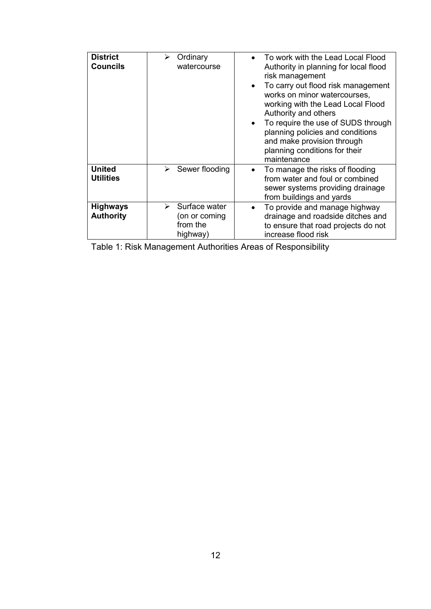| <b>District</b><br><b>Councils</b>  | Ordinary<br>watercourse                                                 | To work with the Lead Local Flood<br>Authority in planning for local flood<br>risk management<br>To carry out flood risk management<br>works on minor watercourses,<br>working with the Lead Local Flood<br>Authority and others<br>To require the use of SUDS through<br>planning policies and conditions<br>and make provision through<br>planning conditions for their<br>maintenance |
|-------------------------------------|-------------------------------------------------------------------------|------------------------------------------------------------------------------------------------------------------------------------------------------------------------------------------------------------------------------------------------------------------------------------------------------------------------------------------------------------------------------------------|
| <b>United</b><br><b>Utilities</b>   | $\triangleright$ Sewer flooding                                         | To manage the risks of flooding<br>from water and foul or combined<br>sewer systems providing drainage<br>from buildings and yards                                                                                                                                                                                                                                                       |
| <b>Highways</b><br><b>Authority</b> | $\triangleright$ Surface water<br>(on or coming<br>from the<br>highway) | To provide and manage highway<br>drainage and roadside ditches and<br>to ensure that road projects do not<br>increase flood risk                                                                                                                                                                                                                                                         |

Table 1: Risk Management Authorities Areas of Responsibility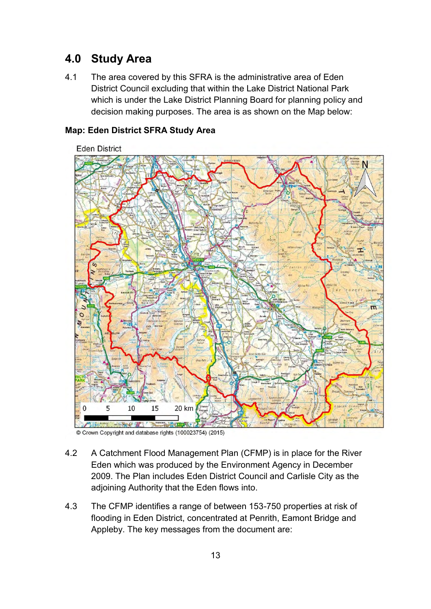# **4.0 Study Area**

4.1 The area covered by this SFRA is the administrative area of Eden District Council excluding that within the Lake District National Park which is under the Lake District Planning Board for planning policy and decision making purposes. The area is as shown on the Map below:



#### **Map: Eden District SFRA Study Area**

- 4.2 A Catchment Flood Management Plan (CFMP) is in place for the River Eden which was produced by the Environment Agency in December 2009. The Plan includes Eden District Council and Carlisle City as the adjoining Authority that the Eden flows into.
- 4.3 The CFMP identifies a range of between 153-750 properties at risk of flooding in Eden District, concentrated at Penrith, Eamont Bridge and Appleby. The key messages from the document are:

<sup>©</sup> Crown Copyright and database rights (100023754) (2015)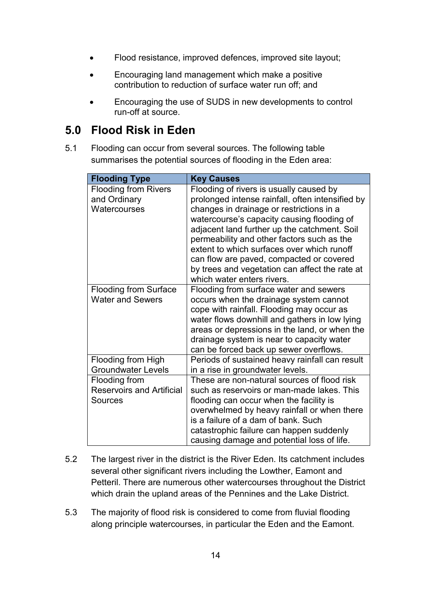- Flood resistance, improved defences, improved site layout;
- Encouraging land management which make a positive contribution to reduction of surface water run off; and
- Encouraging the use of SUDS in new developments to control run-off at source.

# **5.0 Flood Risk in Eden**

5.1 Flooding can occur from several sources. The following table summarises the potential sources of flooding in the Eden area:

| <b>Flooding Type</b>                                                | <b>Key Causes</b>                                                                                                                                                                                                                                                                                                                                                                                                                                             |
|---------------------------------------------------------------------|---------------------------------------------------------------------------------------------------------------------------------------------------------------------------------------------------------------------------------------------------------------------------------------------------------------------------------------------------------------------------------------------------------------------------------------------------------------|
| <b>Flooding from Rivers</b><br>and Ordinary<br>Watercourses         | Flooding of rivers is usually caused by<br>prolonged intense rainfall, often intensified by<br>changes in drainage or restrictions in a<br>watercourse's capacity causing flooding of<br>adjacent land further up the catchment. Soil<br>permeability and other factors such as the<br>extent to which surfaces over which runoff<br>can flow are paved, compacted or covered<br>by trees and vegetation can affect the rate at<br>which water enters rivers. |
| <b>Flooding from Surface</b><br><b>Water and Sewers</b>             | Flooding from surface water and sewers<br>occurs when the drainage system cannot<br>cope with rainfall. Flooding may occur as<br>water flows downhill and gathers in low lying<br>areas or depressions in the land, or when the<br>drainage system is near to capacity water<br>can be forced back up sewer overflows.                                                                                                                                        |
| Flooding from High<br><b>Groundwater Levels</b>                     | Periods of sustained heavy rainfall can result<br>in a rise in groundwater levels.                                                                                                                                                                                                                                                                                                                                                                            |
| Flooding from<br><b>Reservoirs and Artificial</b><br><b>Sources</b> | These are non-natural sources of flood risk<br>such as reservoirs or man-made lakes. This<br>flooding can occur when the facility is<br>overwhelmed by heavy rainfall or when there<br>is a failure of a dam of bank. Such<br>catastrophic failure can happen suddenly<br>causing damage and potential loss of life.                                                                                                                                          |

- 5.2 The largest river in the district is the River Eden. Its catchment includes several other significant rivers including the Lowther, Eamont and Petteril. There are numerous other watercourses throughout the District which drain the upland areas of the Pennines and the Lake District.
- 5.3 The majority of flood risk is considered to come from fluvial flooding along principle watercourses, in particular the Eden and the Eamont.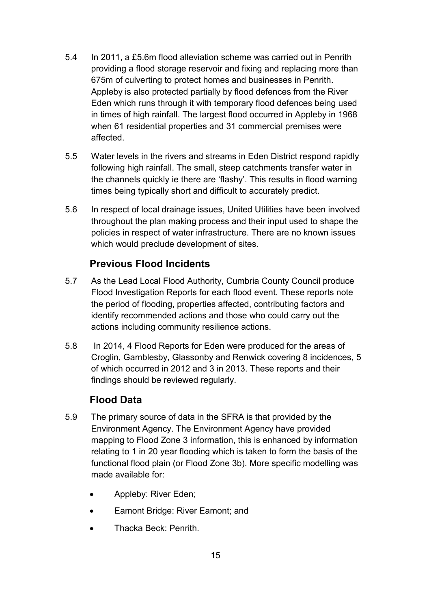- 5.4 In 2011, a £5.6m flood alleviation scheme was carried out in Penrith providing a flood storage reservoir and fixing and replacing more than 675m of culverting to protect homes and businesses in Penrith. Appleby is also protected partially by flood defences from the River Eden which runs through it with temporary flood defences being used in times of high rainfall. The largest flood occurred in Appleby in 1968 when 61 residential properties and 31 commercial premises were affected.
- 5.5 Water levels in the rivers and streams in Eden District respond rapidly following high rainfall. The small, steep catchments transfer water in the channels quickly ie there are 'flashy'. This results in flood warning times being typically short and difficult to accurately predict.
- 5.6 In respect of local drainage issues, United Utilities have been involved throughout the plan making process and their input used to shape the policies in respect of water infrastructure. There are no known issues which would preclude development of sites.

# **Previous Flood Incidents**

- 5.7 As the Lead Local Flood Authority, Cumbria County Council produce Flood Investigation Reports for each flood event. These reports note the period of flooding, properties affected, contributing factors and identify recommended actions and those who could carry out the actions including community resilience actions.
- 5.8 In 2014, 4 Flood Reports for Eden were produced for the areas of Croglin, Gamblesby, Glassonby and Renwick covering 8 incidences, 5 of which occurred in 2012 and 3 in 2013. These reports and their findings should be reviewed regularly.

# **Flood Data**

- 5.9 The primary source of data in the SFRA is that provided by the Environment Agency. The Environment Agency have provided mapping to Flood Zone 3 information, this is enhanced by information relating to 1 in 20 year flooding which is taken to form the basis of the functional flood plain (or Flood Zone 3b). More specific modelling was made available for:
	- Appleby: River Eden;
	- Eamont Bridge: River Eamont; and
	- Thacka Beck: Penrith.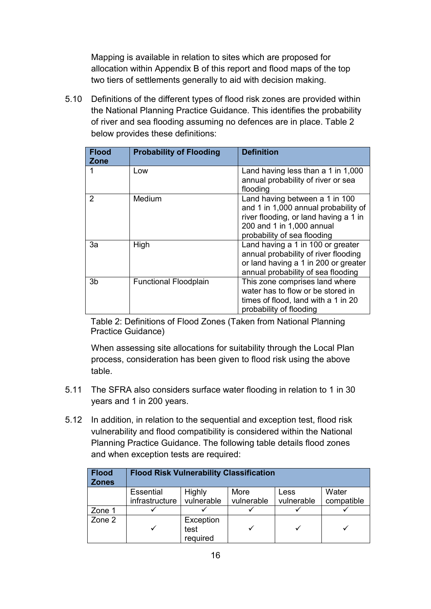Mapping is available in relation to sites which are proposed for allocation within Appendix B of this report and flood maps of the top two tiers of settlements generally to aid with decision making.

5.10 Definitions of the different types of flood risk zones are provided within the National Planning Practice Guidance. This identifies the probability of river and sea flooding assuming no defences are in place. Table 2 below provides these definitions:

| <b>Flood</b><br><b>Zone</b> | <b>Probability of Flooding</b> | <b>Definition</b>                                                                                                                                                           |
|-----------------------------|--------------------------------|-----------------------------------------------------------------------------------------------------------------------------------------------------------------------------|
|                             | Low                            | Land having less than a 1 in 1,000<br>annual probability of river or sea<br>flooding                                                                                        |
| $\mathcal{P}$               | Medium                         | Land having between a 1 in 100<br>and 1 in 1,000 annual probability of<br>river flooding, or land having a 1 in<br>200 and 1 in 1,000 annual<br>probability of sea flooding |
| 3a                          | High                           | Land having a 1 in 100 or greater<br>annual probability of river flooding<br>or land having a 1 in 200 or greater<br>annual probability of sea flooding                     |
| 3b                          | <b>Functional Floodplain</b>   | This zone comprises land where<br>water has to flow or be stored in<br>times of flood, land with a 1 in 20<br>probability of flooding                                       |

 Table 2: Definitions of Flood Zones (Taken from National Planning Practice Guidance)

When assessing site allocations for suitability through the Local Plan process, consideration has been given to flood risk using the above table.

- 5.11 The SFRA also considers surface water flooding in relation to 1 in 30 years and 1 in 200 years.
- 5.12 In addition, in relation to the sequential and exception test, flood risk vulnerability and flood compatibility is considered within the National Planning Practice Guidance. The following table details flood zones and when exception tests are required:

| <b>Flood</b><br><b>Zones</b> | <b>Flood Risk Vulnerability Classification</b> |            |            |            |            |
|------------------------------|------------------------------------------------|------------|------------|------------|------------|
|                              | Essential                                      | Highly     | More       | Less       | Water      |
|                              | infrastructure                                 | vulnerable | vulnerable | vulnerable | compatible |
| Zone 1                       |                                                |            |            |            |            |
| Zone 2                       | Exception<br>test<br>required                  |            |            |            |            |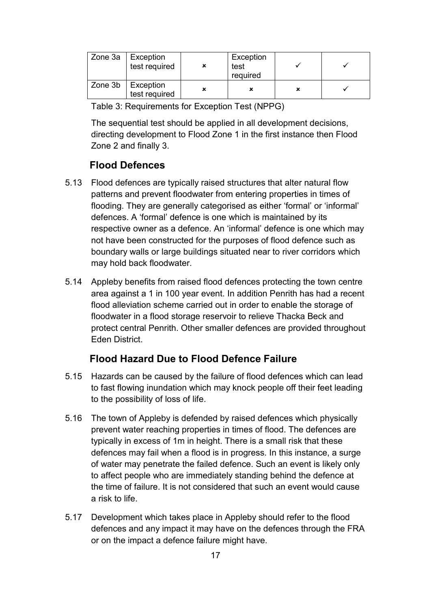| Zone $3a$ | Exception<br>test required | Exception<br>test<br>required |   |  |
|-----------|----------------------------|-------------------------------|---|--|
| Zone 3b   | Exception<br>test required |                               | × |  |

Table 3: Requirements for Exception Test (NPPG)

 The sequential test should be applied in all development decisions, directing development to Flood Zone 1 in the first instance then Flood Zone 2 and finally 3.

### **Flood Defences**

- 5.13 Flood defences are typically raised structures that alter natural flow patterns and prevent floodwater from entering properties in times of flooding. They are generally categorised as either 'formal' or 'informal' defences. A 'formal' defence is one which is maintained by its respective owner as a defence. An 'informal' defence is one which may not have been constructed for the purposes of flood defence such as boundary walls or large buildings situated near to river corridors which may hold back floodwater.
- 5.14 Appleby benefits from raised flood defences protecting the town centre area against a 1 in 100 year event. In addition Penrith has had a recent flood alleviation scheme carried out in order to enable the storage of floodwater in a flood storage reservoir to relieve Thacka Beck and protect central Penrith. Other smaller defences are provided throughout Eden District.

# **Flood Hazard Due to Flood Defence Failure**

- 5.15 Hazards can be caused by the failure of flood defences which can lead to fast flowing inundation which may knock people off their feet leading to the possibility of loss of life.
- 5.16 The town of Appleby is defended by raised defences which physically prevent water reaching properties in times of flood. The defences are typically in excess of 1m in height. There is a small risk that these defences may fail when a flood is in progress. In this instance, a surge of water may penetrate the failed defence. Such an event is likely only to affect people who are immediately standing behind the defence at the time of failure. It is not considered that such an event would cause a risk to life.
- 5.17 Development which takes place in Appleby should refer to the flood defences and any impact it may have on the defences through the FRA or on the impact a defence failure might have.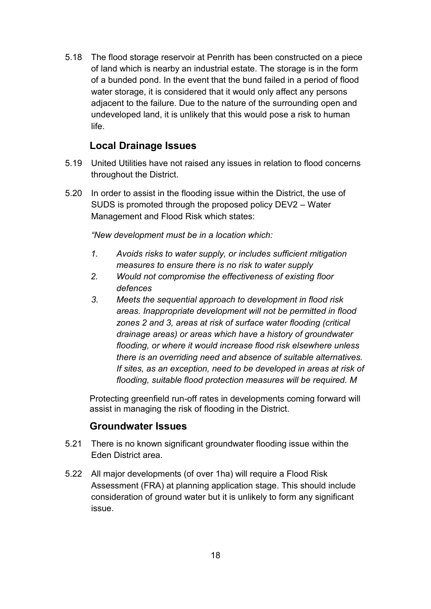5.18 The flood storage reservoir at Penrith has been constructed on a piece of land which is nearby an industrial estate. The storage is in the form of a bunded pond. In the event that the bund failed in a period of flood water storage, it is considered that it would only affect any persons adjacent to the failure. Due to the nature of the surrounding open and undeveloped land, it is unlikely that this would pose a risk to human life.

### **Local Drainage Issues**

- 5.19 United Utilities have not raised any issues in relation to flood concerns throughout the District.
- 5.20 In order to assist in the flooding issue within the District, the use of SUDS is promoted through the proposed policy DEV2 – Water Management and Flood Risk which states:

*"New development must be in a location which:* 

- *1. Avoids risks to water supply, or includes sufficient mitigation measures to ensure there is no risk to water supply*
- *2. Would not compromise the effectiveness of existing floor defences*
- *3. Meets the sequential approach to development in flood risk areas. Inappropriate development will not be permitted in flood zones 2 and 3, areas at risk of surface water flooding (critical drainage areas) or areas which have a history of groundwater flooding, or where it would increase flood risk elsewhere unless there is an overriding need and absence of suitable alternatives. If sites, as an exception, need to be developed in areas at risk of flooding, suitable flood protection measures will be required. M*

Protecting greenfield run-off rates in developments coming forward will assist in managing the risk of flooding in the District.

### **Groundwater Issues**

- 5.21 There is no known significant groundwater flooding issue within the Eden District area.
- 5.22 All major developments (of over 1ha) will require a Flood Risk Assessment (FRA) at planning application stage. This should include consideration of ground water but it is unlikely to form any significant issue.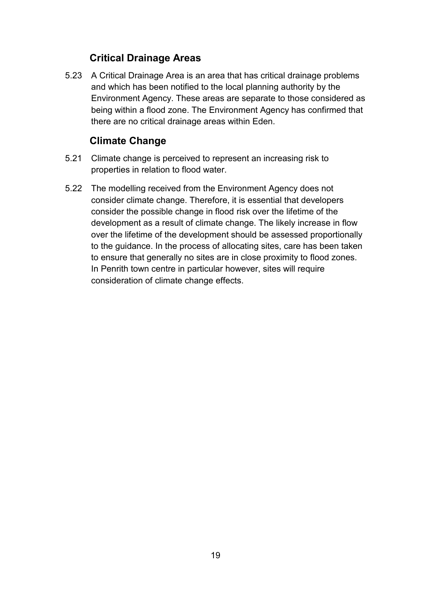# **Critical Drainage Areas**

5.23 A Critical Drainage Area is an area that has critical drainage problems and which has been notified to the local planning authority by the Environment Agency. These areas are separate to those considered as being within a flood zone. The Environment Agency has confirmed that there are no critical drainage areas within Eden.

# **Climate Change**

- 5.21 Climate change is perceived to represent an increasing risk to properties in relation to flood water.
- 5.22 The modelling received from the Environment Agency does not consider climate change. Therefore, it is essential that developers consider the possible change in flood risk over the lifetime of the development as a result of climate change. The likely increase in flow over the lifetime of the development should be assessed proportionally to the guidance. In the process of allocating sites, care has been taken to ensure that generally no sites are in close proximity to flood zones. In Penrith town centre in particular however, sites will require consideration of climate change effects.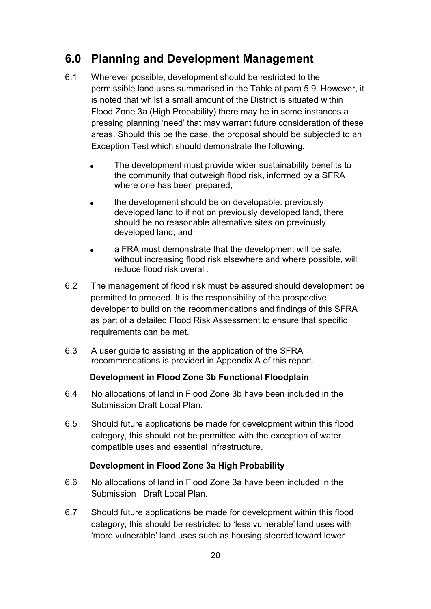# **6.0 Planning and Development Management**

- 6.1 Wherever possible, development should be restricted to the permissible land uses summarised in the Table at para 5.9. However, it is noted that whilst a small amount of the District is situated within Flood Zone 3a (High Probability) there may be in some instances a pressing planning 'need' that may warrant future consideration of these areas. Should this be the case, the proposal should be subjected to an Exception Test which should demonstrate the following:
	- The development must provide wider sustainability benefits to the community that outweigh flood risk, informed by a SFRA where one has been prepared;
	- the development should be on developable. previously developed land to if not on previously developed land, there should be no reasonable alternative sites on previously developed land; and
	- a FRA must demonstrate that the development will be safe, without increasing flood risk elsewhere and where possible, will reduce flood risk overall.
- 6.2 The management of flood risk must be assured should development be permitted to proceed. It is the responsibility of the prospective developer to build on the recommendations and findings of this SFRA as part of a detailed Flood Risk Assessment to ensure that specific requirements can be met.
- 6.3 A user guide to assisting in the application of the SFRA recommendations is provided in Appendix A of this report.

#### **Development in Flood Zone 3b Functional Floodplain**

- 6.4 No allocations of land in Flood Zone 3b have been included in the Submission Draft Local Plan.
- 6.5 Should future applications be made for development within this flood category, this should not be permitted with the exception of water compatible uses and essential infrastructure.

### **Development in Flood Zone 3a High Probability**

- 6.6 No allocations of land in Flood Zone 3a have been included in the Submission Draft Local Plan.
- 6.7 Should future applications be made for development within this flood category, this should be restricted to 'less vulnerable' land uses with 'more vulnerable' land uses such as housing steered toward lower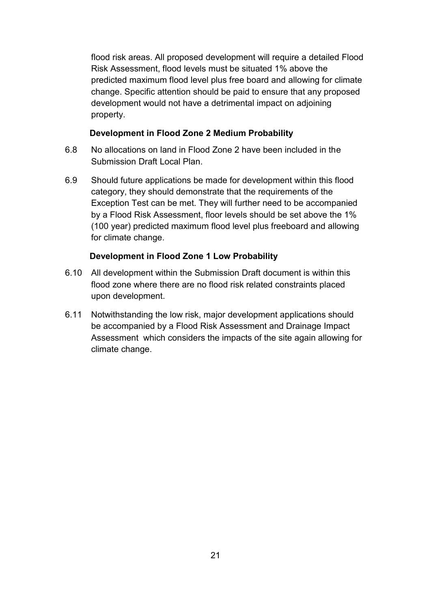flood risk areas. All proposed development will require a detailed Flood Risk Assessment, flood levels must be situated 1% above the predicted maximum flood level plus free board and allowing for climate change. Specific attention should be paid to ensure that any proposed development would not have a detrimental impact on adjoining property.

#### **Development in Flood Zone 2 Medium Probability**

- 6.8 No allocations on land in Flood Zone 2 have been included in the Submission Draft Local Plan.
- 6.9 Should future applications be made for development within this flood category, they should demonstrate that the requirements of the Exception Test can be met. They will further need to be accompanied by a Flood Risk Assessment, floor levels should be set above the 1% (100 year) predicted maximum flood level plus freeboard and allowing for climate change.

### **Development in Flood Zone 1 Low Probability**

- 6.10 All development within the Submission Draft document is within this flood zone where there are no flood risk related constraints placed upon development.
- 6.11 Notwithstanding the low risk, major development applications should be accompanied by a Flood Risk Assessment and Drainage Impact Assessment which considers the impacts of the site again allowing for climate change.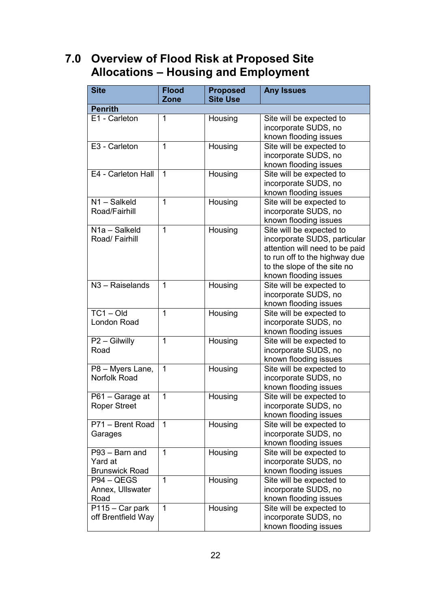# **7.0 Overview of Flood Risk at Proposed Site Allocations – Housing and Employment**

| <b>Site</b>                                        | <b>Flood</b><br>Zone | <b>Proposed</b><br><b>Site Use</b> | <b>Any Issues</b>                                                                                                                                                                   |
|----------------------------------------------------|----------------------|------------------------------------|-------------------------------------------------------------------------------------------------------------------------------------------------------------------------------------|
| <b>Penrith</b>                                     |                      |                                    |                                                                                                                                                                                     |
| E1 - Carleton                                      | 1                    | Housing                            | Site will be expected to<br>incorporate SUDS, no<br>known flooding issues                                                                                                           |
| E3 - Carleton                                      | $\mathbf{1}$         | Housing                            | Site will be expected to<br>incorporate SUDS, no<br>known flooding issues                                                                                                           |
| E4 - Carleton Hall                                 | 1                    | Housing                            | Site will be expected to<br>incorporate SUDS, no<br>known flooding issues                                                                                                           |
| N1-Salkeld<br>Road/Fairhill                        | 1                    | Housing                            | Site will be expected to<br>incorporate SUDS, no<br>known flooding issues                                                                                                           |
| $\overline{N}$ 1a - Salkeld<br>Road/ Fairhill      | 1                    | Housing                            | Site will be expected to<br>incorporate SUDS, particular<br>attention will need to be paid<br>to run off to the highway due<br>to the slope of the site no<br>known flooding issues |
| N <sub>3</sub> - Raiselands                        | 1                    | Housing                            | Site will be expected to<br>incorporate SUDS, no<br>known flooding issues                                                                                                           |
| $TC1 - Old$<br>London Road                         | $\overline{1}$       | Housing                            | Site will be expected to<br>incorporate SUDS, no<br>known flooding issues                                                                                                           |
| P2 - Gilwilly<br>Road                              | 1                    | Housing                            | Site will be expected to<br>incorporate SUDS, no<br>known flooding issues                                                                                                           |
| P8 - Myers Lane,<br>Norfolk Road                   | $\mathbf 1$          | Housing                            | Site will be expected to<br>incorporate SUDS, no<br>known flooding issues                                                                                                           |
| P61 - Garage at<br><b>Roper Street</b>             | 1                    | Housing                            | Site will be expected to<br>incorporate SUDS, no<br>known flooding issues                                                                                                           |
| P71 - Brent Road<br>Garages                        | $\mathbf 1$          | Housing                            | Site will be expected to<br>incorporate SUDS, no<br>known flooding issues                                                                                                           |
| P93 - Barn and<br>Yard at<br><b>Brunswick Road</b> | 1                    | Housing                            | Site will be expected to<br>incorporate SUDS, no<br>known flooding issues                                                                                                           |
| P94 – QEGS<br>Annex, Ullswater<br>Road             | 1                    | Housing                            | Site will be expected to<br>incorporate SUDS, no<br>known flooding issues                                                                                                           |
| P115 - Car park<br>off Brentfield Way              | 1                    | Housing                            | Site will be expected to<br>incorporate SUDS, no<br>known flooding issues                                                                                                           |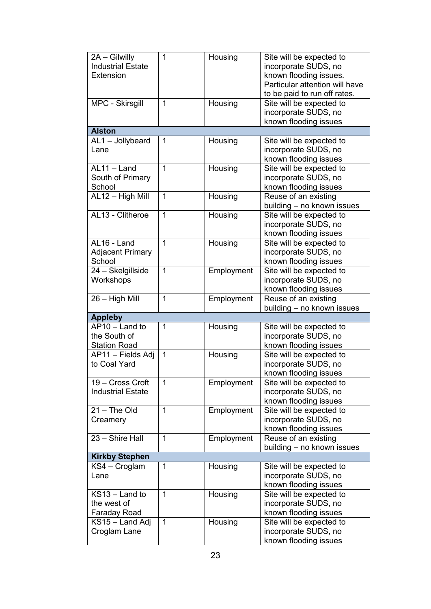| 2A - Gilwilly<br><b>Industrial Estate</b><br>Extension | 1            | Housing    | Site will be expected to<br>incorporate SUDS, no<br>known flooding issues.<br>Particular attention will have<br>to be paid to run off rates. |
|--------------------------------------------------------|--------------|------------|----------------------------------------------------------------------------------------------------------------------------------------------|
| MPC - Skirsgill                                        | 1            | Housing    | Site will be expected to<br>incorporate SUDS, no<br>known flooding issues                                                                    |
| <b>Alston</b>                                          |              |            |                                                                                                                                              |
| AL1 - Jollybeard<br>Lane                               | 1            | Housing    | Site will be expected to<br>incorporate SUDS, no<br>known flooding issues                                                                    |
| AL11 - Land<br>South of Primary<br>School              | 1            | Housing    | Site will be expected to<br>incorporate SUDS, no<br>known flooding issues                                                                    |
| AL12 - High Mill                                       | 1            | Housing    | Reuse of an existing<br>building - no known issues                                                                                           |
| AL13 - Clitheroe                                       | $\mathbf{1}$ | Housing    | Site will be expected to<br>incorporate SUDS, no<br>known flooding issues                                                                    |
| AL16 - Land<br><b>Adjacent Primary</b><br>School       | 1            | Housing    | Site will be expected to<br>incorporate SUDS, no<br>known flooding issues                                                                    |
| 24 - Skelgillside<br>Workshops                         | 1            | Employment | Site will be expected to<br>incorporate SUDS, no<br>known flooding issues                                                                    |
| 26 - High Mill                                         | 1            | Employment | Reuse of an existing<br>building - no known issues                                                                                           |
| <b>Appleby</b>                                         |              |            |                                                                                                                                              |
| AP10 - Land to<br>the South of<br><b>Station Road</b>  | 1            | Housing    | Site will be expected to<br>incorporate SUDS, no<br>known flooding issues                                                                    |
| AP11 - Fields Adj<br>to Coal Yard                      | 1            | Housing    | Site will be expected to<br>incorporate SUDS, no<br>known flooding issues                                                                    |
| 19 - Cross Croft<br><b>Industrial Estate</b>           | 1            | Employment | Site will be expected to<br>incorporate SUDS, no<br>known flooding issues                                                                    |
| $21 - The Old$<br>Creamery                             | $\mathbf 1$  | Employment | Site will be expected to<br>incorporate SUDS, no<br>known flooding issues                                                                    |
| 23 - Shire Hall                                        | $\mathbf 1$  | Employment | Reuse of an existing<br>building - no known issues                                                                                           |
| <b>Kirkby Stephen</b>                                  |              |            |                                                                                                                                              |
| KS4 - Croglam<br>Lane                                  | 1            | Housing    | Site will be expected to<br>incorporate SUDS, no<br>known flooding issues                                                                    |
| KS13 - Land to<br>the west of<br><b>Faraday Road</b>   | $\mathbf{1}$ | Housing    | Site will be expected to<br>incorporate SUDS, no<br>known flooding issues                                                                    |
| KS15 – Land Adj<br>Croglam Lane                        | 1            | Housing    | Site will be expected to<br>incorporate SUDS, no<br>known flooding issues                                                                    |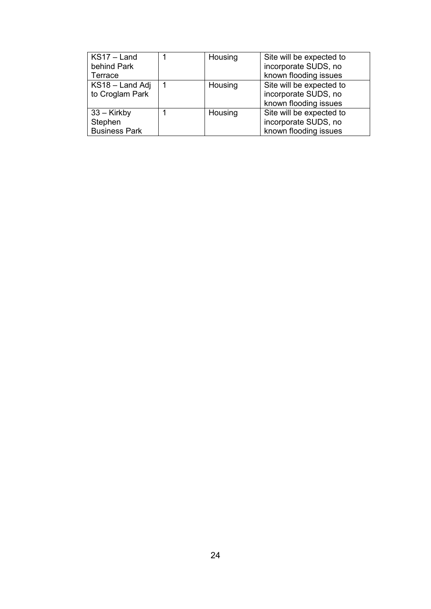| $KS17 - Land$        | Housing | Site will be expected to |
|----------------------|---------|--------------------------|
| behind Park          |         | incorporate SUDS, no     |
| Terrace              |         | known flooding issues    |
| KS18 - Land Adj      | Housing | Site will be expected to |
| to Croglam Park      |         | incorporate SUDS, no     |
|                      |         | known flooding issues    |
| $33 -$ Kirkby        | Housing | Site will be expected to |
| Stephen              |         | incorporate SUDS, no     |
| <b>Business Park</b> |         | known flooding issues    |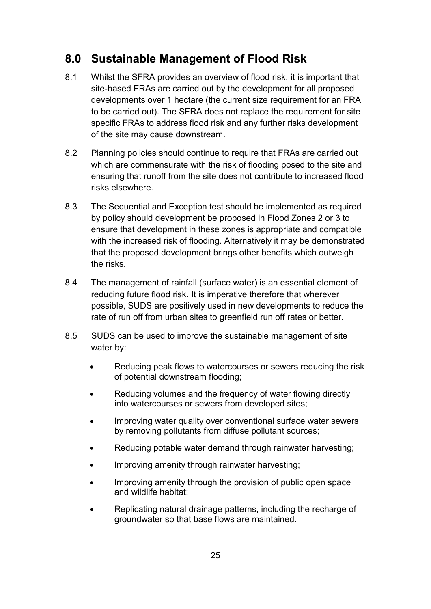# **8.0 Sustainable Management of Flood Risk**

- 8.1 Whilst the SFRA provides an overview of flood risk, it is important that site-based FRAs are carried out by the development for all proposed developments over 1 hectare (the current size requirement for an FRA to be carried out). The SFRA does not replace the requirement for site specific FRAs to address flood risk and any further risks development of the site may cause downstream.
- 8.2 Planning policies should continue to require that FRAs are carried out which are commensurate with the risk of flooding posed to the site and ensuring that runoff from the site does not contribute to increased flood risks elsewhere.
- 8.3 The Sequential and Exception test should be implemented as required by policy should development be proposed in Flood Zones 2 or 3 to ensure that development in these zones is appropriate and compatible with the increased risk of flooding. Alternatively it may be demonstrated that the proposed development brings other benefits which outweigh the risks.
- 8.4 The management of rainfall (surface water) is an essential element of reducing future flood risk. It is imperative therefore that wherever possible, SUDS are positively used in new developments to reduce the rate of run off from urban sites to greenfield run off rates or better.
- 8.5 SUDS can be used to improve the sustainable management of site water by:
	- Reducing peak flows to watercourses or sewers reducing the risk of potential downstream flooding;
	- Reducing volumes and the frequency of water flowing directly into watercourses or sewers from developed sites;
	- Improving water quality over conventional surface water sewers by removing pollutants from diffuse pollutant sources;
	- Reducing potable water demand through rainwater harvesting;
	- Improving amenity through rainwater harvesting;
	- Improving amenity through the provision of public open space and wildlife habitat;
	- Replicating natural drainage patterns, including the recharge of groundwater so that base flows are maintained.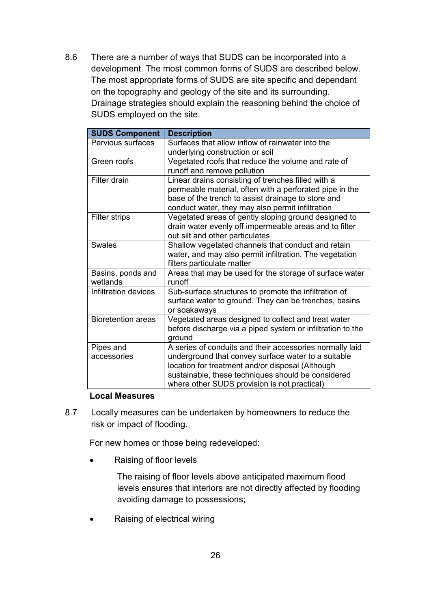8.6 There are a number of ways that SUDS can be incorporated into a development. The most common forms of SUDS are described below. The most appropriate forms of SUDS are site specific and dependant on the topography and geology of the site and its surrounding. Drainage strategies should explain the reasoning behind the choice of SUDS employed on the site.

| <b>SUDS Component</b>         | <b>Description</b>                                                                                                                                                                                                                                                        |
|-------------------------------|---------------------------------------------------------------------------------------------------------------------------------------------------------------------------------------------------------------------------------------------------------------------------|
| Pervious surfaces             | Surfaces that allow inflow of rainwater into the<br>underlying construction or soil                                                                                                                                                                                       |
| Green roofs                   | Vegetated roofs that reduce the volume and rate of<br>runoff and remove pollution                                                                                                                                                                                         |
| Filter drain                  | Linear drains consisting of trenches filled with a<br>permeable material, often with a perforated pipe in the<br>base of the trench to assist drainage to store and<br>conduct water, they may also permit infiltration                                                   |
| <b>Filter strips</b>          | Vegetated areas of gently sloping ground designed to<br>drain water evenly off impermeable areas and to filter<br>out silt and other particulates                                                                                                                         |
| <b>Swales</b>                 | Shallow vegetated channels that conduct and retain<br>water, and may also permit infiltration. The vegetation<br>filters particulate matter                                                                                                                               |
| Basins, ponds and<br>wetlands | Areas that may be used for the storage of surface water<br>runoff                                                                                                                                                                                                         |
| Infiltration devices          | Sub-surface structures to promote the infiltration of<br>surface water to ground. They can be trenches, basins<br>or soakaways                                                                                                                                            |
| <b>Bioretention areas</b>     | Vegetated areas designed to collect and treat water<br>before discharge via a piped system or infiltration to the<br>ground                                                                                                                                               |
| Pipes and<br>accessories      | A series of conduits and their accessories normally laid<br>underground that convey surface water to a suitable<br>location for treatment and/or disposal (Although<br>sustainable, these techniques should be considered<br>where other SUDS provision is not practical) |

#### **Local Measures**

8.7 Locally measures can be undertaken by homeowners to reduce the risk or impact of flooding.

For new homes or those being redeveloped:

• Raising of floor levels

The raising of floor levels above anticipated maximum flood levels ensures that interiors are not directly affected by flooding avoiding damage to possessions;

• Raising of electrical wiring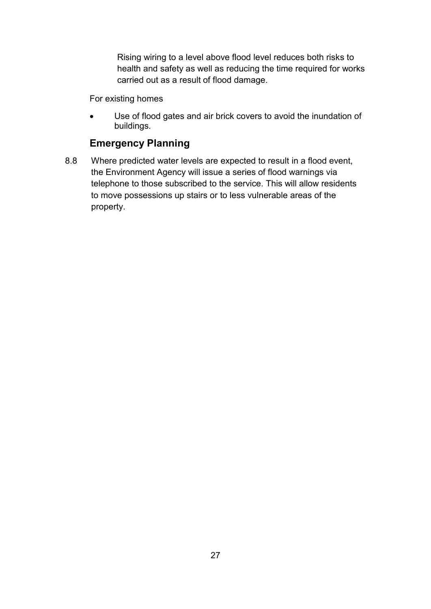Rising wiring to a level above flood level reduces both risks to health and safety as well as reducing the time required for works carried out as a result of flood damage.

For existing homes

 Use of flood gates and air brick covers to avoid the inundation of buildings.

# **Emergency Planning**

8.8 Where predicted water levels are expected to result in a flood event, the Environment Agency will issue a series of flood warnings via telephone to those subscribed to the service. This will allow residents to move possessions up stairs or to less vulnerable areas of the property.